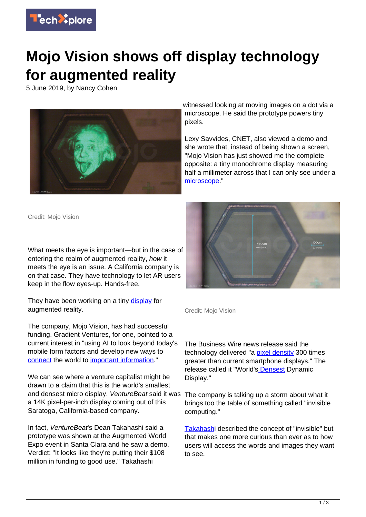

## **Mojo Vision shows off display technology for augmented reality**

5 June 2019, by Nancy Cohen



witnessed looking at moving images on a dot via a microscope. He said the prototype powers tiny pixels.

Lexy Savvides, CNET, also viewed a demo and she wrote that, instead of being shown a screen, "Mojo Vision has just showed me the complete opposite: a tiny monochrome display measuring half a millimeter across that I can only see under a [microscope.](https://www.cnet.com/news/mojo-visions-miniature-display-actually-made-me-excited-about-ar/)"

Credit: Mojo Vision

What meets the eye is important—but in the case of entering the realm of augmented reality, how it meets the eye is an issue. A California company is on that case. They have technology to let AR users keep in the flow eyes-up. Hands-free.

They have been working on a tiny [display](https://techxplore.com/tags/display/) for augmented reality.

The company, Mojo Vision, has had successful funding. Gradient Ventures, for one, pointed to a current interest in "using AI to look beyond today's mobile form factors and develop new ways to [connect](https://next.reality.news/news/google-backs-mojo-visions-invisible-computing-augmented-reality-platform-58-million-funding-round-0195001/) the world to [important information](https://techxplore.com/tags/important+information/)."

We can see where a venture capitalist might be drawn to a claim that this is the world's smallest and densest micro display. VentureBeat said it was a 14K pixel-per-inch display coming out of this Saratoga, California-based company.

In fact, VentureBeat's Dean Takahashi said a prototype was shown at the Augmented World Expo event in Santa Clara and he saw a demo. Verdict: "It looks like they're putting their \$108 million in funding to good use." Takahashi



Credit: Mojo Vision

The Business Wire news release said the technology delivered "a [pixel density](https://techxplore.com/tags/pixel+density/) 300 times greater than current smartphone displays." The release called it "World'[s Densest](https://www.businesswire.com/news/home/20190530005240/en/Mojo-Vision-Unveils-World%E2%80%99s-Densest-Dynamic-Display) Dynamic Display."

The company is talking up a storm about what it brings too the table of something called "invisible computing."

[Takahashi](https://venturebeat.com/2019/05/30/mojo-vision-reveals-the-worlds-smallest-and-densest-micro-display/) described the concept of "invisible" but that makes one more curious than ever as to how users will access the words and images they want to see.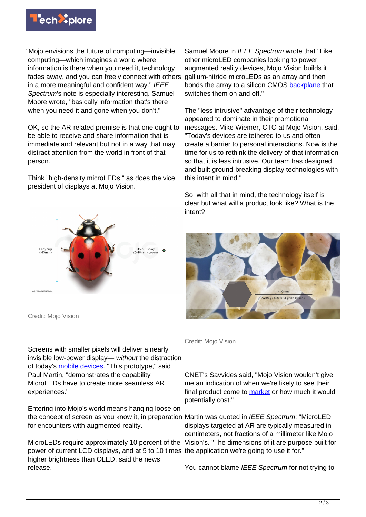

"Mojo envisions the future of computing—invisible computing—which imagines a world where information is there when you need it, technology fades away, and you can freely connect with others in a more meaningful and confident way." IEEE Spectrum's note is especially interesting. Samuel Moore wrote, "basically information that's there when you need it and gone when you don't."

OK, so the AR-related premise is that one ought to be able to receive and share information that is immediate and relevant but not in a way that may distract attention from the world in front of that person.

Think "high-density microLEDs," as does the vice president of displays at Mojo Vision.



Credit: Mojo Vision

Screens with smaller pixels will deliver a nearly invisible low-power display— without the distraction of today's [mobile devices.](https://techxplore.com/tags/mobile+devices/) "This prototype," said Paul Martin, "demonstrates the capability MicroLEDs have to create more seamless AR experiences."

Entering into Mojo's world means hanging loose on the concept of screen as you know it, in preparation Martin was quoted in IEEE Spectrum: "MicroLED for encounters with augmented reality.

MicroLEDs require approximately 10 percent of the Vision's. "The dimensions of it are purpose built for power of current LCD displays, and at 5 to 10 times the application we're going to use it for." higher brightness than OLED, said the news release.

Samuel Moore in IEEE Spectrum wrote that "Like" other microLED companies looking to power augmented reality devices, Mojo Vision builds it gallium-nitride microLEDs as an array and then bonds the array to a silicon CMOS [backplane](https://spectrum.ieee.org/tech-talk/semiconductors/optoelectronics/this-microled-display-is-smaller-than-a-bug) that switches them on and off."

The "less intrusive" advantage of their technology appeared to dominate in their promotional messages. Mike Wiemer, CTO at Mojo Vision, said. "Today's devices are tethered to us and often create a barrier to personal interactions. Now is the time for us to rethink the delivery of that information so that it is less intrusive. Our team has designed and built ground-breaking display technologies with this intent in mind."

So, with all that in mind, the technology itself is clear but what will a product look like? What is the intent?



Credit: Mojo Vision

CNET's Savvides said, "Mojo Vision wouldn't give me an indication of when we're likely to see their final product come to [market](https://www.cnet.com/news/mojo-visions-miniature-display-actually-made-me-excited-about-ar/) or how much it would potentially cost."

displays targeted at AR are typically measured in centimeters, not fractions of a millimeter like Mojo

You cannot blame IEEE Spectrum for not trying to